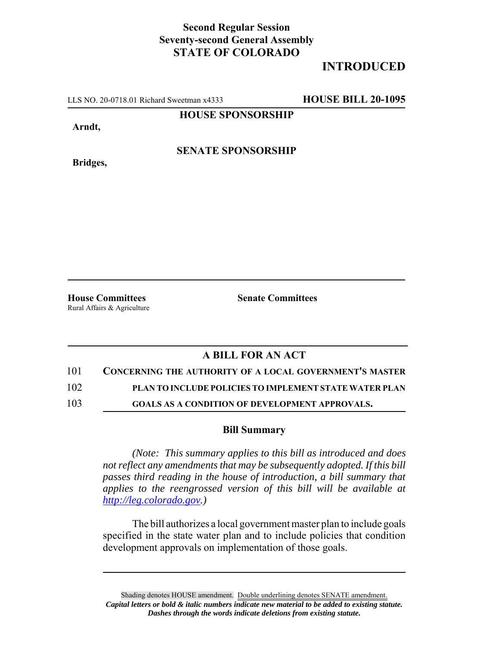## **Second Regular Session Seventy-second General Assembly STATE OF COLORADO**

# **INTRODUCED**

LLS NO. 20-0718.01 Richard Sweetman x4333 **HOUSE BILL 20-1095**

**HOUSE SPONSORSHIP**

**Arndt,**

**Bridges,**

**SENATE SPONSORSHIP**

**House Committees Senate Committees** 

Rural Affairs & Agriculture

### **A BILL FOR AN ACT**

#### 101 **CONCERNING THE AUTHORITY OF A LOCAL GOVERNMENT'S MASTER**

102 **PLAN TO INCLUDE POLICIES TO IMPLEMENT STATE WATER PLAN**

103 **GOALS AS A CONDITION OF DEVELOPMENT APPROVALS.**

#### **Bill Summary**

*(Note: This summary applies to this bill as introduced and does not reflect any amendments that may be subsequently adopted. If this bill passes third reading in the house of introduction, a bill summary that applies to the reengrossed version of this bill will be available at http://leg.colorado.gov.)*

The bill authorizes a local government master plan to include goals specified in the state water plan and to include policies that condition development approvals on implementation of those goals.

Shading denotes HOUSE amendment. Double underlining denotes SENATE amendment. *Capital letters or bold & italic numbers indicate new material to be added to existing statute. Dashes through the words indicate deletions from existing statute.*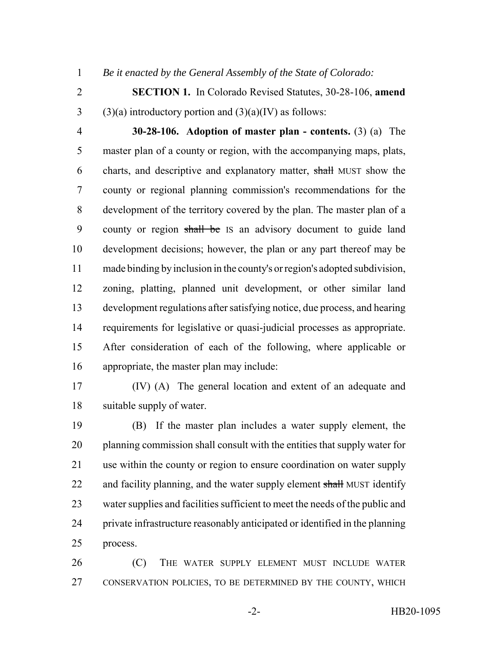*Be it enacted by the General Assembly of the State of Colorado:*

 **SECTION 1.** In Colorado Revised Statutes, 30-28-106, **amend** 3 (3)(a) introductory portion and  $(3)(a)(IV)$  as follows:

 **30-28-106. Adoption of master plan - contents.** (3) (a) The master plan of a county or region, with the accompanying maps, plats, charts, and descriptive and explanatory matter, shall MUST show the county or regional planning commission's recommendations for the development of the territory covered by the plan. The master plan of a county or region shall be IS an advisory document to guide land development decisions; however, the plan or any part thereof may be made binding by inclusion in the county's or region's adopted subdivision, zoning, platting, planned unit development, or other similar land development regulations after satisfying notice, due process, and hearing requirements for legislative or quasi-judicial processes as appropriate. After consideration of each of the following, where applicable or appropriate, the master plan may include:

 (IV) (A) The general location and extent of an adequate and suitable supply of water.

 (B) If the master plan includes a water supply element, the planning commission shall consult with the entities that supply water for use within the county or region to ensure coordination on water supply 22 and facility planning, and the water supply element shall MUST identify water supplies and facilities sufficient to meet the needs of the public and private infrastructure reasonably anticipated or identified in the planning process.

 (C) THE WATER SUPPLY ELEMENT MUST INCLUDE WATER CONSERVATION POLICIES, TO BE DETERMINED BY THE COUNTY, WHICH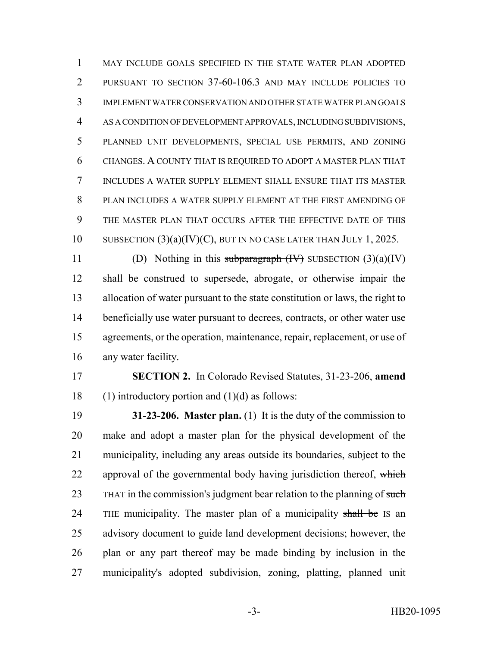MAY INCLUDE GOALS SPECIFIED IN THE STATE WATER PLAN ADOPTED PURSUANT TO SECTION 37-60-106.3 AND MAY INCLUDE POLICIES TO IMPLEMENT WATER CONSERVATION AND OTHER STATE WATER PLAN GOALS AS A CONDITION OF DEVELOPMENT APPROVALS, INCLUDING SUBDIVISIONS, PLANNED UNIT DEVELOPMENTS, SPECIAL USE PERMITS, AND ZONING CHANGES. A COUNTY THAT IS REQUIRED TO ADOPT A MASTER PLAN THAT INCLUDES A WATER SUPPLY ELEMENT SHALL ENSURE THAT ITS MASTER PLAN INCLUDES A WATER SUPPLY ELEMENT AT THE FIRST AMENDING OF THE MASTER PLAN THAT OCCURS AFTER THE EFFECTIVE DATE OF THIS SUBSECTION (3)(a)(IV)(C), BUT IN NO CASE LATER THAN JULY 1, 2025.

11 (D) Nothing in this subparagraph  $(W)$  SUBSECTION  $(3)(a)(IV)$  shall be construed to supersede, abrogate, or otherwise impair the allocation of water pursuant to the state constitution or laws, the right to beneficially use water pursuant to decrees, contracts, or other water use agreements, or the operation, maintenance, repair, replacement, or use of any water facility.

 **SECTION 2.** In Colorado Revised Statutes, 31-23-206, **amend** 18 (1) introductory portion and  $(1)(d)$  as follows:

 **31-23-206. Master plan.** (1) It is the duty of the commission to make and adopt a master plan for the physical development of the municipality, including any areas outside its boundaries, subject to the 22 approval of the governmental body having jurisdiction thereof, which 23 THAT in the commission's judgment bear relation to the planning of such 24 THE municipality. The master plan of a municipality shall be IS an advisory document to guide land development decisions; however, the plan or any part thereof may be made binding by inclusion in the municipality's adopted subdivision, zoning, platting, planned unit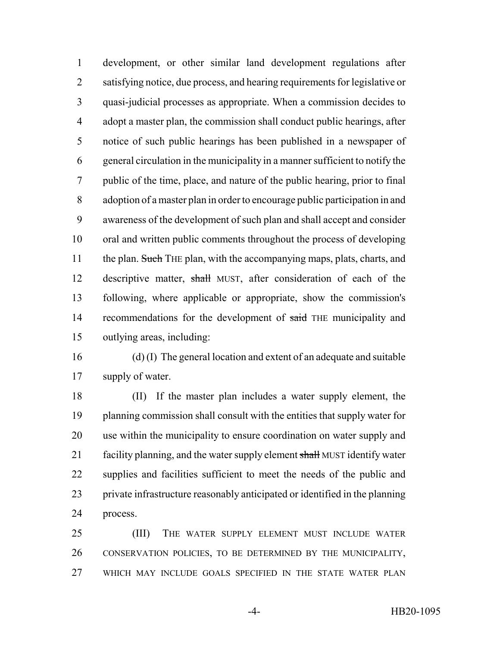development, or other similar land development regulations after satisfying notice, due process, and hearing requirements for legislative or quasi-judicial processes as appropriate. When a commission decides to adopt a master plan, the commission shall conduct public hearings, after notice of such public hearings has been published in a newspaper of general circulation in the municipality in a manner sufficient to notify the public of the time, place, and nature of the public hearing, prior to final adoption of a master plan in order to encourage public participation in and awareness of the development of such plan and shall accept and consider oral and written public comments throughout the process of developing 11 the plan. Such THE plan, with the accompanying maps, plats, charts, and 12 descriptive matter, shall MUST, after consideration of each of the following, where applicable or appropriate, show the commission's 14 recommendations for the development of said THE municipality and outlying areas, including:

 (d) (I) The general location and extent of an adequate and suitable supply of water.

 (II) If the master plan includes a water supply element, the planning commission shall consult with the entities that supply water for use within the municipality to ensure coordination on water supply and 21 facility planning, and the water supply element shall MUST identify water supplies and facilities sufficient to meet the needs of the public and private infrastructure reasonably anticipated or identified in the planning process.

 (III) THE WATER SUPPLY ELEMENT MUST INCLUDE WATER CONSERVATION POLICIES, TO BE DETERMINED BY THE MUNICIPALITY, WHICH MAY INCLUDE GOALS SPECIFIED IN THE STATE WATER PLAN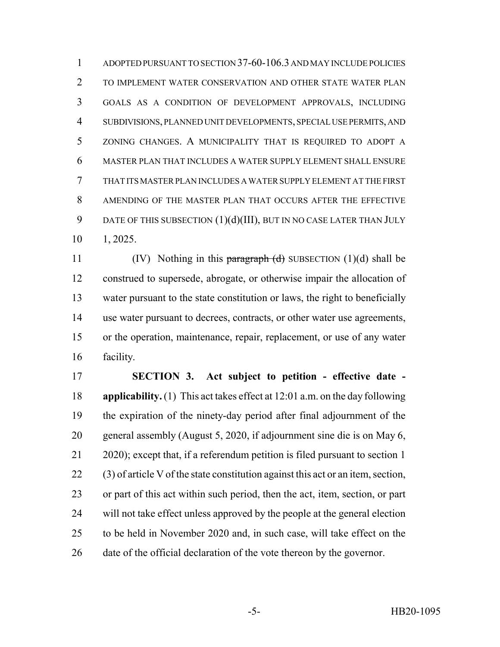ADOPTED PURSUANT TO SECTION 37-60-106.3 AND MAY INCLUDE POLICIES TO IMPLEMENT WATER CONSERVATION AND OTHER STATE WATER PLAN GOALS AS A CONDITION OF DEVELOPMENT APPROVALS, INCLUDING SUBDIVISIONS, PLANNED UNIT DEVELOPMENTS, SPECIAL USE PERMITS, AND ZONING CHANGES. A MUNICIPALITY THAT IS REQUIRED TO ADOPT A MASTER PLAN THAT INCLUDES A WATER SUPPLY ELEMENT SHALL ENSURE THAT ITS MASTER PLAN INCLUDES A WATER SUPPLY ELEMENT AT THE FIRST AMENDING OF THE MASTER PLAN THAT OCCURS AFTER THE EFFECTIVE 9 DATE OF THIS SUBSECTION  $(1)(d)(III)$ , BUT IN NO CASE LATER THAN JULY 1, 2025.

11 (IV) Nothing in this paragraph  $(d)$  SUBSECTION (1)(d) shall be construed to supersede, abrogate, or otherwise impair the allocation of water pursuant to the state constitution or laws, the right to beneficially use water pursuant to decrees, contracts, or other water use agreements, or the operation, maintenance, repair, replacement, or use of any water facility.

 **SECTION 3. Act subject to petition - effective date - applicability.** (1) This act takes effect at 12:01 a.m. on the day following the expiration of the ninety-day period after final adjournment of the general assembly (August 5, 2020, if adjournment sine die is on May 6, 2020); except that, if a referendum petition is filed pursuant to section 1 (3) of article V of the state constitution against this act or an item, section, or part of this act within such period, then the act, item, section, or part will not take effect unless approved by the people at the general election to be held in November 2020 and, in such case, will take effect on the date of the official declaration of the vote thereon by the governor.